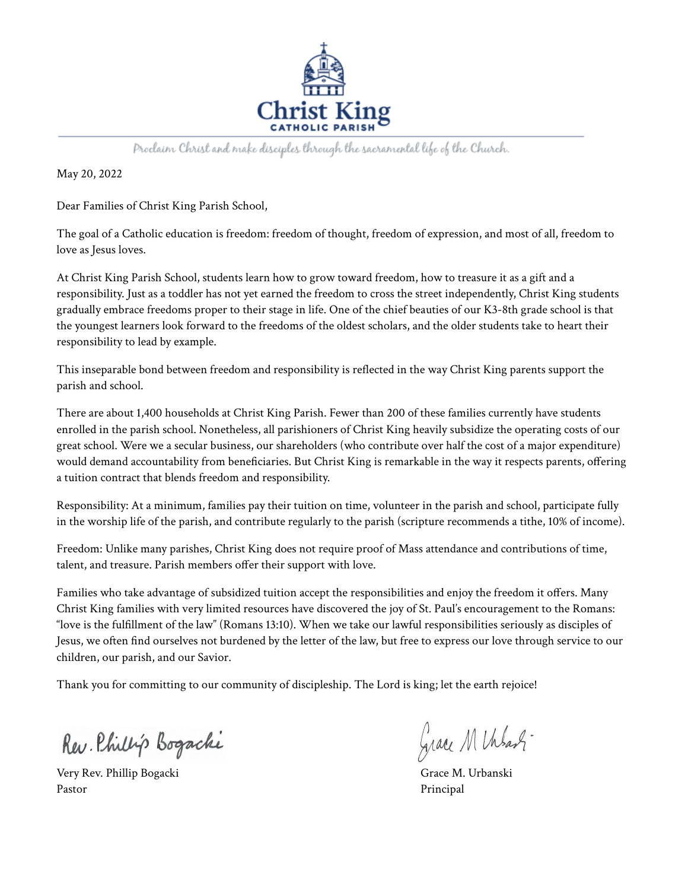

Proclaim Christ and make disciples through the sacramental life of the Church.

May 20, 2022

Dear Families of Christ King Parish School,

The goal of a Catholic education is freedom: freedom of thought, freedom of expression, and most of all, freedom to love as Jesus loves.

At Christ King Parish School, students learn how to grow toward freedom, how to treasure it as a gift and a responsibility. Just as a toddler has not yet earned the freedom to cross the street independently, Christ King students gradually embrace freedoms proper to their stage in life. One of the chief beauties of our K3-8th grade school is that the youngest learners look forward to the freedoms of the oldest scholars, and the older students take to heart their responsibility to lead by example.

This inseparable bond between freedom and responsibility is reflected in the way Christ King parents support the parish and school.

There are about 1,400 households at Christ King Parish. Fewer than 200 of these families currently have students enrolled in the parish school. Nonetheless, all parishioners of Christ King heavily subsidize the operating costs of our great school. Were we a secular business, our shareholders (who contribute over half the cost of a major expenditure) would demand accountability from beneficiaries. But Christ King is remarkable in the way it respects parents, offering a tuition contract that blends freedom and responsibility.

Responsibility: At a minimum, families pay their tuition on time, volunteer in the parish and school, participate fully in the worship life of the parish, and contribute regularly to the parish (scripture recommends a tithe, 10% of income).

Freedom: Unlike many parishes, Christ King does not require proof of Mass attendance and contributions of time, talent, and treasure. Parish members offer their support with love.

Families who take advantage of subsidized tuition accept the responsibilities and enjoy the freedom it offers. Many Christ King families with very limited resources have discovered the joy of St. Paul's encouragement to the Romans: "love is the fulfillment of the law" (Romans 13:10). When we take our lawful responsibilities seriously as disciples of Jesus, we often find ourselves not burdened by the letter of the law, but free to express our love through service to our children, our parish, and our Savior.

Thank you for committing to our community of discipleship. The Lord is king; let the earth rejoice!

Rev. Phillip Bogachi

Very Rev. Phillip Bogacki Grace M. Urbanski Pastor Principal

Grace M Unbash-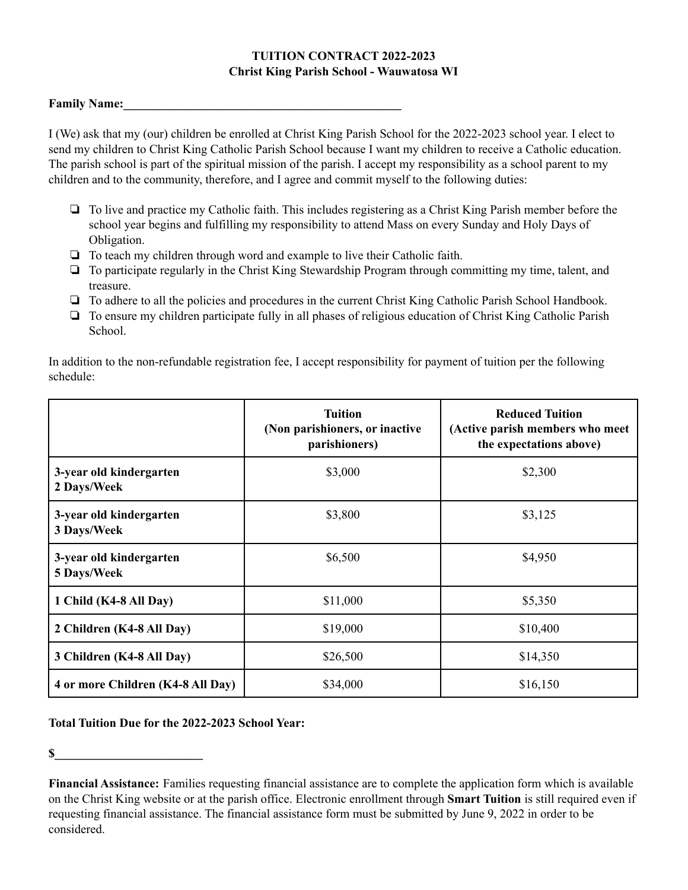## **TUITION CONTRACT 2022-2023 Christ King Parish School - Wauwatosa WI**

## **Family Name:\_\_\_\_\_\_\_\_\_\_\_\_\_\_\_\_\_\_\_\_\_\_\_\_\_\_\_\_\_\_\_\_\_\_\_\_\_\_\_\_\_\_\_\_\_**

I (We) ask that my (our) children be enrolled at Christ King Parish School for the 2022-2023 school year. I elect to send my children to Christ King Catholic Parish School because I want my children to receive a Catholic education. The parish school is part of the spiritual mission of the parish. I accept my responsibility as a school parent to my children and to the community, therefore, and I agree and commit myself to the following duties:

- ❏ To live and practice my Catholic faith. This includes registering as a Christ King Parish member before the school year begins and fulfilling my responsibility to attend Mass on every Sunday and Holy Days of Obligation.
- ❏ To teach my children through word and example to live their Catholic faith.
- ❏ To participate regularly in the Christ King Stewardship Program through committing my time, talent, and treasure.
- ❏ To adhere to all the policies and procedures in the current Christ King Catholic Parish School Handbook.
- ❏ To ensure my children participate fully in all phases of religious education of Christ King Catholic Parish School.

In addition to the non-refundable registration fee, I accept responsibility for payment of tuition per the following schedule:

|                                        | <b>Tuition</b><br>(Non parishioners, or inactive<br>parishioners) | <b>Reduced Tuition</b><br>(Active parish members who meet<br>the expectations above) |
|----------------------------------------|-------------------------------------------------------------------|--------------------------------------------------------------------------------------|
| 3-year old kindergarten<br>2 Days/Week | \$3,000                                                           | \$2,300                                                                              |
| 3-year old kindergarten<br>3 Days/Week | \$3,800                                                           | \$3,125                                                                              |
| 3-year old kindergarten<br>5 Days/Week | \$6,500                                                           | \$4,950                                                                              |
| 1 Child (K4-8 All Day)                 | \$11,000                                                          | \$5,350                                                                              |
| 2 Children (K4-8 All Day)              | \$19,000                                                          | \$10,400                                                                             |
| 3 Children (K4-8 All Day)              | \$26,500                                                          | \$14,350                                                                             |
| 4 or more Children (K4-8 All Day)      | \$34,000                                                          | \$16,150                                                                             |

**Total Tuition Due for the 2022-2023 School Year:**

 $\mathbf S$ 

**Financial Assistance:** Families requesting financial assistance are to complete the application form which is available on the Christ King website or at the parish office. Electronic enrollment through **Smart Tuition** is still required even if requesting financial assistance. The financial assistance form must be submitted by June 9, 2022 in order to be considered.